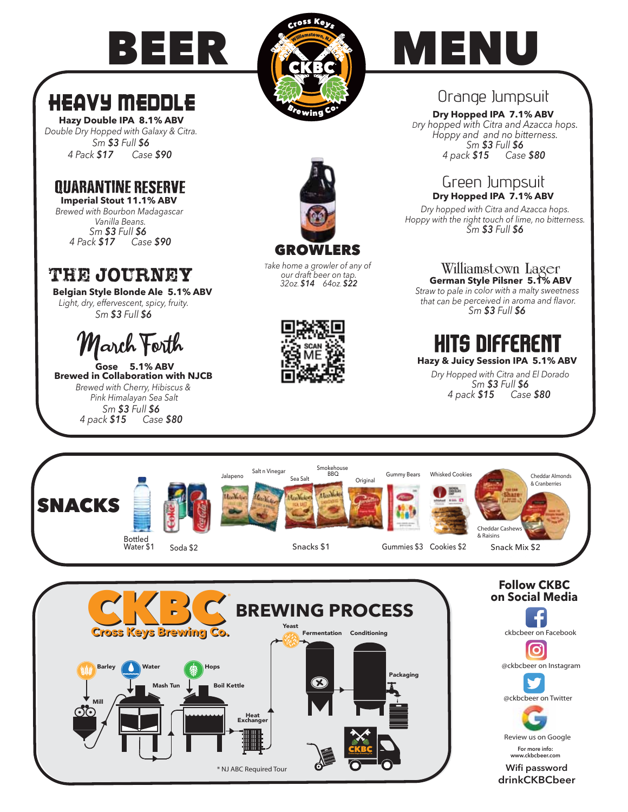

#### **HEAVY MEDDLE Hazy Double IPA 8.1% ABV**

*Double Dry Hopped with Galaxy & Citra. Sm \$3 Full \$6 4 Pack \$17 Case \$90* 

## **QUARANTINE RESERVE**

**Imperial Stout 11.1% ABV** *Brewed with Bourbon Madagascar Vanilla Beans. Sm \$3 Full \$6 4 Pack \$17 Case \$90*

## The Journey

**Belgian Style Blonde Ale 5.1% ABV** *Light, dry, effervescent, spicy, fruity. Sm \$3 Full \$6*



**Gose 5.1% ABV Brewed in Collaboration with NJCB**  *Brewed with Cherry, Hibiscus & Pink Himalayan Sea Salt Sm \$3 Full \$6 4 pack \$15 Case \$80*

Mill





### Orange Jumpsuit

*Dry hopped with Citra and Azacca hops. Hoppy and and no bitterness. Sm \$3 Full \$6 4 pack \$15 Case \$80*  **Dry Hopped IPA 7.1% ABV** 

# Green Jumpsuit<br>Dry Hopped IPA 7.1% ABV

*Dry hopped with Citra and Azacca hops. Hoppy with the right touch of lime, no bitterness. Sm \$3 Full \$6*

#### **Williamstown Lager German Style Pilsner 5.1% ABV**

*Straw to pale in color with a malty sweetness that can be perceived in aroma and flavor. Sm \$3 Full \$6*

# HITS DIFFERENT

**Hazy & Juicy Session IPA 5.1% ABV** 

*Dry Hopped with Citra and El Dorado Sm \$3 Full \$6 4 pack \$15 Case \$80* 



CKBC **Cross Keys Brewing Co.**

Packaging

\* NJ ABC Required Tour

Heat<br>Exchang

Mash Tun Boil Kettle



Review us on Google **For more info:**

**www.ckbcbeer.com**

**Wifi password drinkCKBCbeer**



*Take home a growler of any of our draft beer on tap. 32oz. \$14 64oz. \$22*